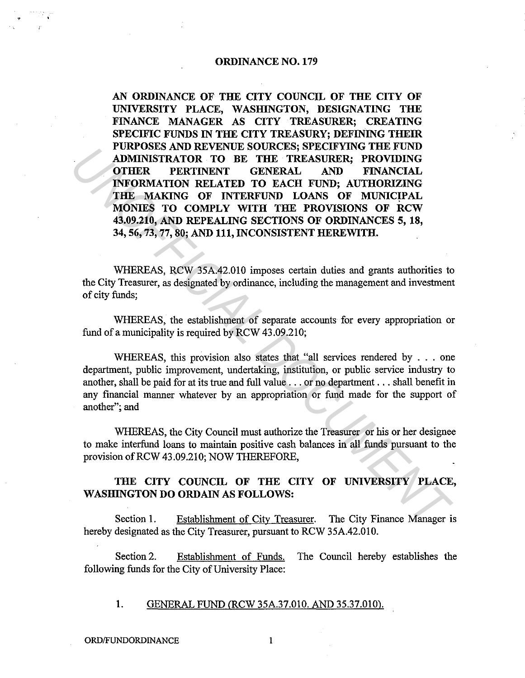#### ORDINANCE NO. 179

AN ORDINANCE OF THE CITY COUNCIL OF THE CITY OF UNIVERSITY PLACE, WASHINGTON, DESIGNATING THE FINANCE MANAGER AS CITY TREASURER; CREATING SPECIFIC FUNDS IN THE CITY TREASURY; DEFINING THEIR PURPOSES AND REVENUE SOURCES; SPECIFYING THE FUND ADMINISTRATOR TO BE THE TREASURER; PROVIDING OTHER PERTINENT GENERAL AND FINANCIAL INFORMATION RELATED TO EACH FUND; AUTHORIZING THE MAKING OF INTERFUND LOANS OF MUNICIPAL MONIES TO COMPLY WITH THE PROVISIONS OF RCW 43.09.210, AND REPEALING SECTIONS OF ORDINANCES 5, 18, 34, 56, 73, 77, 80; AND 111, INCONSISTENT HEREWITH. **FOKPOSS AND KEVELTON TOE THE TREASURER;** PROVIDING<br> **CHERE TREASURER;** PROVIDING<br> **CHERE TREASURER:** PROVIDING<br> **CHERE TREASURATION** COMPLY WITH THE PROVISIONAL<br> **INFORMATION RELATED TO EACH EVAN)** *IUTHORIZING*<br> **INFORMA** 

WHEREAS, RCW 35A.42.010 imposes certain duties and grants authorities to the City Treasurer, as designated by ordinance, including the management and investment of city funds;

WHEREAS, the establishment of separate accounts for every appropriation or fund of a municipality is required by RCW 43.09.210;

WHEREAS, this provision also states that "all services rendered by . . . one department, public improvement, undertaking, institution, or public service industry to another, shall be paid for at its true and full value ... or no department ... shall benefit in any financial manner whatever by an appropriation or fund made for the support of another"; and

WHEREAS, the City Council must authorize the Treasurer or his or her designee to make interfund loans to maintain positive cash balances in all funds pursuant to the provision ofRCW 43.09.210; NOW THEREFORE,

# THE CITY COUNCIL OF THE CITY OF UNIVERSITY PLACE, WASHINGTON DO ORDAIN AS FOLLOWS:

Section 1. Establishment of City Treasurer. The City Finance Manager is hereby designated as the City Treasurer, pursuant to RCW 35A.42.010.

Section 2. Establishment of Funds. The Council hereby establishes the following funds for the City of University Place:

1. GENERAL FUND (RCW 35A.37.010. AND 35.37.010).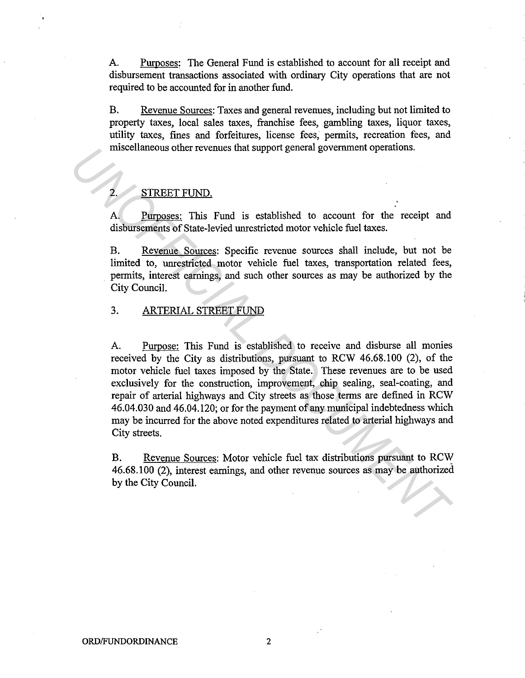A. Purposes: The General Fund is established to account for all receipt and disbursement transactions associated with ordinary City operations that are not required to be accounted for in another fund.

B. Revenue Sources: Taxes and general revenues, including but not limited to property taxes, local sales taxes, franchise fees, gambling taxes, liquor taxes, utility taxes, fines and forfeitures, license fees, permits, recreation fees, and miscellaneous other revenues that support general government operations.

## STREET FUND.

A. Purposes: This Fund is established to account for the receipt and disbursements of State-levied unrestricted motor vehicle fuel taxes.

B. Revenue Sources: Specific revenue sources shall include, but not be limited to, unrestricted motor vehicle fuel taxes, transportation related fees, permits, interest earnings, and such other sources as may be authorized by the City Council.

## 3. ARTERIAL STREET FUND

A. Purpose: This Fund is established to receive and disburse all monies received by the City as distributions, pursuant to RCW 46.68.100 (2), of the motor vehicle fuel taxes imposed by the State. These revenues are to be used exclusively for the construction, improvement, chip sealing, seal-coating, and repair of arterial highways and City streets as those terms are defined in RCW 46.04.030 and 46.04.120; or for the payment of any municipal indebtedness which may be incurred for the above noted expenditures related to arterial highways and City streets. Inscellanceous other revenues that support general government operations.<br> **EXECUMENT CONUMENT ACT**<br> **EXECUTE TOND**<br> **A Purposes:** This Fund is established to account for the receipt and disbursements of State-leveld une

B. Revenue Sources: Motor vehicle fuel tax distributions pursuant to RCW 46.68.100 (2), interest earnings, and other revenue sources as may be authorized by the City Council.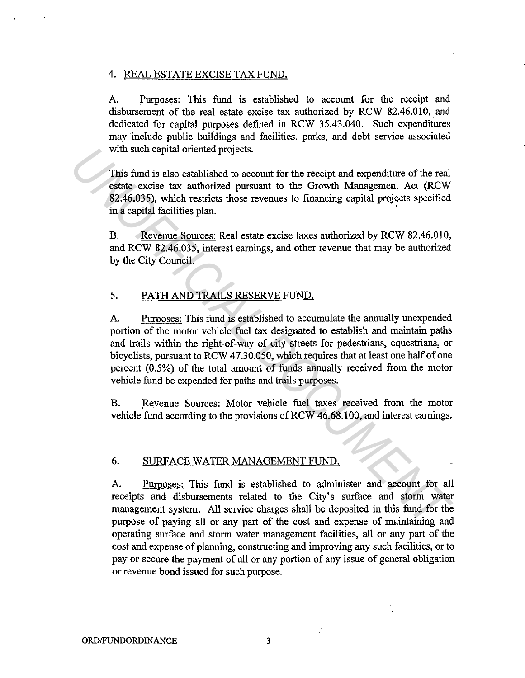#### 4. REAL ESTATE EXCISE TAX FUND.

A. Purposes: This fund is established to account for the receipt and disbursement of the real estate excise tax authorized by RCW 82.46.010, and dedicated for capital purposes defined in RCW 35.43.040. Such expenditures may include public buildings and facilities, parks, and debt service associated with such capital oriented projects.

This fund is also established to account for the receipt and expenditure of the real estate excise tax authorized pursuant to the Growth Management Act (RCW 82.46.035), which restricts those revenues to financing capital projects specified in a capital facilities plan.

B. Revenue Sources: Real estate excise taxes authorized by RCW 82.46.010, and RCW 82.46.035, interest earnings, and other revenue that may be authorized by the City Council.

## 5. PATH AND TRAILS RESERVE FUND.

A. Purposes: This fund is established to accumulate the annually unexpended portion of the motor vehicle fuel tax designated to establish and maintain paths and trails within the right-of-way of city streets for pedestrians, equestrians, or bicyclists, pursuant to RCW 47.30.050, which requires that at least one half of one percent (0.5%) of the total amount of funds annually received from the motor vehicle fund be expended for paths and trails purposes. with such capital oriented projects.<br>
This fund is also established to account for the receipt and expenditure of the real<br>
estate exists tax authorized pursuant to the Growth Management Act (RCW<br>
\$2.46.035), which restric

B. Revenue Sources: Motor vehicle fuel taxes received from the motor vehicle fund according to the provisions of RCW 46.68.100, and interest earnings.

#### 6. SURFACE WATER MANAGEMENT FUND.

A. Purposes: This fund is established to administer and account for all receipts and disbursements related to the City's surface and storm water management system. All service charges shall be deposited in this fund for the purpose of paying all or any part of the cost and expense of maintaining and operating surface and storm water management facilities, all or any part of the cost and expense of planning, constructing and improving any such facilities, or to pay or secure the payment of all or any portion of any issue of general obligation or revenue bond issued for such purpose.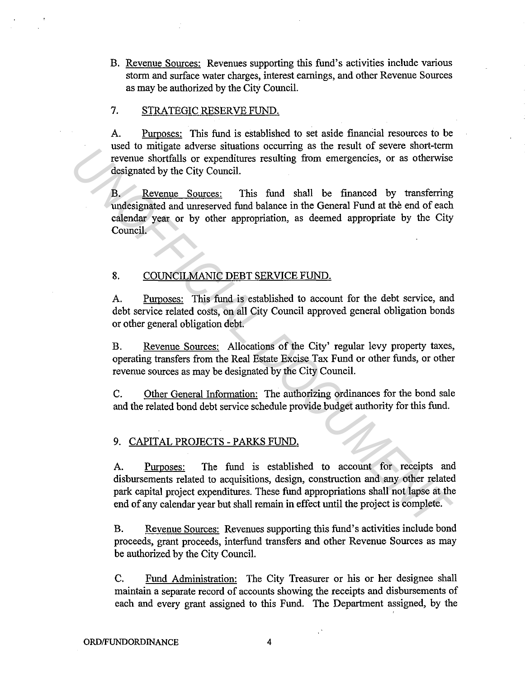B. Revenue Sources: Revenues supporting this fund's activities include various storm and surface water charges, interest earnings, and other Revenue Sources as may be authorized by the City Council.

## 7. STRATEGIC RESERVE FUND.

A. Purposes: This fund is established to set aside financial resources to be used to mitigate adverse situations occurring as the result of severe short-term revenue shortfalls or expenditures resulting from emergencies, or as otherwise designated by the City Council.

B. Revenue Sources: This fund shall be financed by transferring undesignated and unreserved fund balance in the General Fund at the end of each calendar year or by other appropriation, as deemed appropriate by the City Council.

### 8. COUNCILMANIC DEBT SERVICE FUND.

A. Purposes: This fund is established to account for the debt service, and debt service related costs, on all City Council approved general obligation bonds or other general obligation debt.

B. Revenue Sources: Allocations of the City' regular levy property taxes, operating transfers from the Real Estate Excise Tax Fund or other funds, or other revenue sources as may be designated by the City Council.

C. Other General Information: The authorizing ordinances for the bond sale and the related bond debt service schedule provide budget authority for this fund.

### 9. CAPITAL PROJECTS - PARKS FUND.

A. Purposes: The fund is established to account for receipts and disbursements related to acquisitions, design, construction and any other related park capital project expenditures. These fund appropriations shall not lapse at the end of any calendar year but shall remain in effect until the project is complete. Here we comagne annotation societing from energencies, or as otherwise<br>revenue shortfialls or expenditures resulting from energencies, or as otherwise<br>designated by the City Council.<br>B. Revenue Sources: This fund shall be

B. Revenue Sources: Revenues supporting this fund's activities include bond proceeds, grant proceeds, interfund transfers and other Revenue Sources as may be authorized by the City Council.

C. Fund Administration: The City Treasurer or his or her designee shall maintain a separate record of accounts showing the receipts and disbursements of each and every grant assigned to this Fund. The Department assigned, by the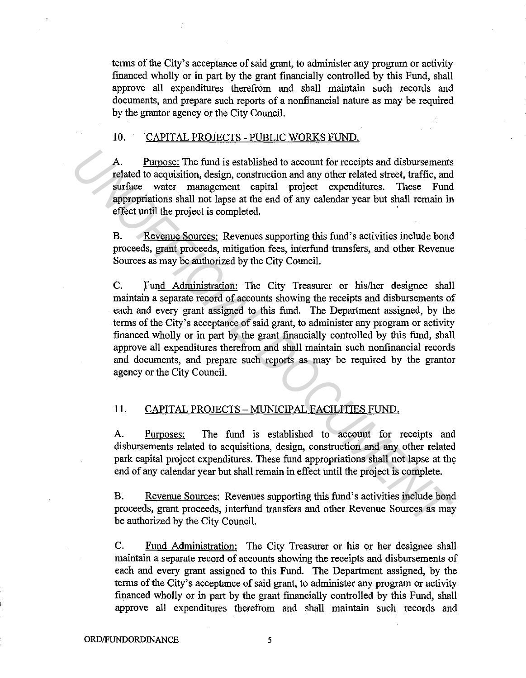terms of the City's acceptance of said grant, to administer any program or activity financed wholly or in part by the grant financially controlled by this Fund, shall approve all expenditures therefrom and shall maintain such records and documents, and prepare such reports of a nonfinancial nature as may be required by the grantor agency or the City Council.

#### 10. CAPITAL PROJECTS - PUBLIC WORKS FUND.

A. Purpose: The fund is established to account for receipts and disbursements related to acquisition, design, construction and any other related street, traffic, and surface water management capital project expenditures. These Fund appropriations shall not lapse at the end of any calendar year but shall remain in effect until the project is completed. ·

B. Revenue Sources: Revenues supporting this fund's activities include bond proceeds, grant proceeds, mitigation fees, interfund transfers, and other Revenue Sources as may be authorized by the City Council.

C. Fund Administration: The City Treasurer or his/her designee shall maintain a separate record of accounts showing the receipts and disbursements of each and every grant assigned to this fund. The Department assigned, by the terms of the City's acceptance of said grant, to administer any program or activity financed wholly or in part by the grant financially controlled by this fund, shall approve all expenditures therefrom and shall maintain such nonfinancial records and documents, and prepare such reports as may be required by the grantor agency or the City Council. A. Purpose; The fund is established to account for receipts and disbursements<br>related to acquisition, design, construction and any other related street, traffic, and<br>surface water management captial project expenditures.

## 11. CAPITAL PROJECTS - MUNICIPAL FACILITIES FUND.

A. Purposes: The fund is established to account for receipts and disbursements related to acquisitions, design, construction and any other related park capital project expenditures. These fund appropriations shall not lapse at the end of any calendar year but shall remain in effect until the project is complete.

B. Revenue Sources: Revenues supporting this fund's activities include bond proceeds, grant proceeds, interfund transfers and other Revenue Sources as may be authorized by the City Council.

C. Fund Administration: The City Treasurer or his or her designee shall maintain a separate record of accounts showing the receipts and disbursements of each and every grant assigned to this Fund. The Department assigned, by the terms of the City's acceptance of said grant, to administer any program or activity financed wholly or in part by the grant financially controlled by this Fund, shall approve all expenditures therefrom and shall maintain such records and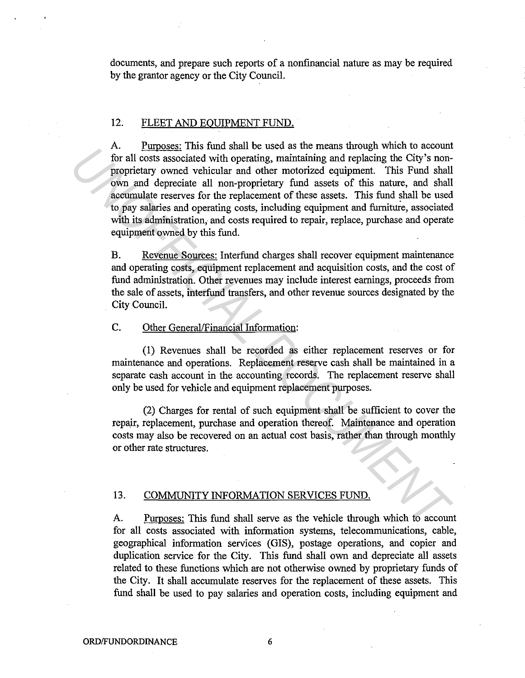documents, and prepare such reports of a nonfinancial nature as may be required by the grantor agency or the City Council.

## 12. FLEET AND EQUIPMENT FUND.

A. Purposes: This fund shall be used as the means through which to account for all costs associated with operating, maintaining and replacing the City's nonproprietary owned vehicular and other motorized equipment. This Fund shall own and depreciate all non-proprietary fund assets of this nature, and shall accumulate reserves for the replacement of these assets. This fund shall be used to pay salaries and operating costs, including equipment and furnintre, associated with its administration, and costs required to repair, replace, purchase and operate equipment owned by this fund. At the same of the case we means unduply when the actional properties, the same in the same in the same of the profit and depending the City's non-<br>proprietary owned vehicular and other motorized equipment. This Fund shall

B. Revenue Sources: Interfund charges shall recover equipment maintenance and operating costs, equipment replacement and acquisition costs, and the cost of fund administration. Other revenues may include interest earnings, proceeds from the sale of assets, interfund transfers, and other revenue sources designated by the City Council.

#### C. Other General/Financial Information:

(1) Revenues shall be recorded as either replacement reserves or for maintenance and operations. Replacement reserve cash shall be maintained in a separate cash account in the accounting records. The replacement reserve shall only be used for vehicle and equipment replacement purposes.

(2) Charges for rental of such equipment shall be sufficient to cover the repajr, replacement, purchase and operation thereof. Maintenance and operation costs may also be recovered on an actual cost basis, rather than through monthly or other rate structures.

#### 13. COMMUNITY INFORMATION SERVICES FUND.

A. Purposes: This fund shall serve as the vehicle through which to account for all costs associated with information systems, telecommunications, cable, geographical information services (GIS), postage operations, and copier and duplication service for the City. This fund shall own and depreciate all assets related to these functions which are not otherwise owned by proprietary funds of the City. It shall accumulate reserves for the replacement of these assets. This fund shall be used to pay salaries and operation costs, including equipment and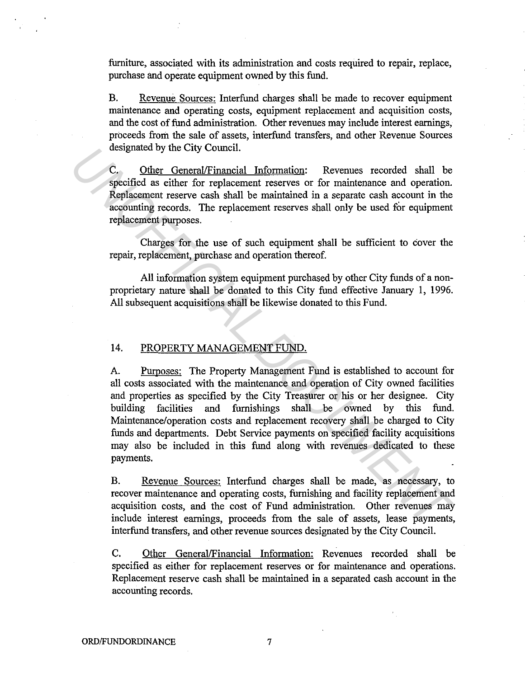furniture, associated with its administration and costs required to repair, replace, purchase and operate equipment owned by this fund.

B. Revenue Sources: Interfund charges shall be made to recover equipment maintenance and operating costs, equipment replacement and acquisition costs, and the cost of fund administration. Other revenues may include interest earnings, proceeds from the sale of assets, interfund transfers, and other Revenue Sources designated by the City Council.

C. Other General/Financial Information: Revenues recorded shall be specified as either for replacement reserves or for maintenance and operation. Replacement reserve cash shall be maintained in a separate cash account in the accounting records. The replacement reserves shall only be used for equipment replacement purposes.

Charges for the use of such equipment shall be sufficient to cover the repair, replacement, purchase and operation thereof.

All information system equipment purchased by other City funds of a nonproprietary nature shall be donated to this City fund effective January 1, 1996. All subsequent acquisitions shall be likewise donated to this Fund.

#### 14. PROPERTY MANAGEMENT FUND.

A. Purposes: The Property Management Fund is established to account for all costs associated with the maintenance and operation of City owned facilities and properties as specified by the City Treasurer or his or her designee. City building facilities and furnishings shall be owned by this fund. Maintenance/operation costs and replacement recovery shall be charged to City funds and departments. Debt Service payments on specified facility acquisitions may also be included in this fund along with revenues dedicated to these payments. **C.** Other General Primatelal Information: Revenues recorded shall be<br>c. Other General Primatel Information: Revenues recorded shall be<br>specified as either for replacement reserves or for maintenance and operation.<br>Replace

B. Revenue Sources: Interfund charges shall be made, as necessary, to recover maintenance and operating costs, furnishing and facility replacement and acquisition costs, and the cost of Fund administration. Other revenues may include interest earnings, proceeds from the sale of assets, lease payments, interfund transfers, and other revenue sources designated by the City Council.

C. Other General/Financial Information: Revenues recorded shall be specified as either for replacement reserves or for maintenance and operations. Replacement reserve cash shall be maintained in a separated cash account in the accounting records.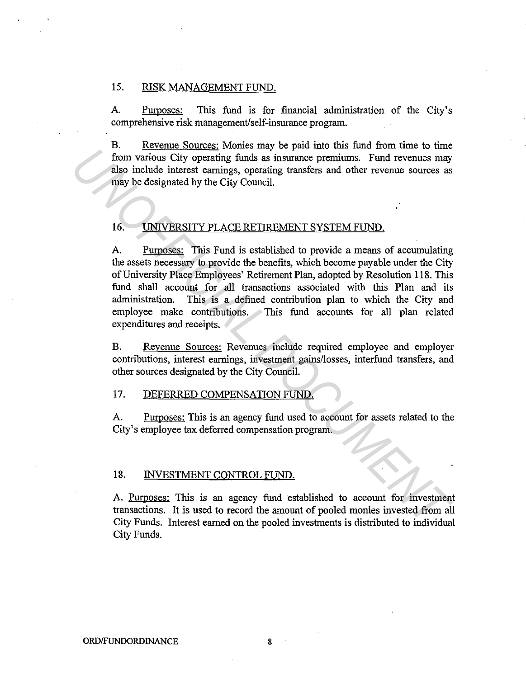## 15. RISK MANAGEMENT FUND.

A. Purposes: This fund is for financial administration of the City's comprehensive risk management/self-insurance program.

B. Revenue Sources: Monies may be paid into this fund from time to time from various City operating funds as insurance premiums. Fund revenues may also include interest earnings, operating transfers and other revenue sources as may be designated by the City Council.

#### 16. UNIVERSITY PLACE RETIREMENT SYSTEM FUND.

A. Purposes: This Fund is established to provide a means of accumulating the assets necessary to provide the benefits, which become payable under the City of University Place Employees' Retirement Plan, adopted by Resolution 118. This fund shall account for all transactions associated with this Plan and its administration. This is a defined contribution plan to which the City and employee make contributions. This fund accounts for all plan related expenditures and receipts. *UNITRAL EXERCT CONTROL FUND*<br> **EXERCT ASSOCIATE AND ASSOCIATE CONTROL FOR THE CONTROL AND THE CONTROL AND THE CONTROL ASSOCIATE TO A THE CONTROL AND ASSOCIATE TO A THE CONTROL AND CONTROL AND CONTROL TO UNIVERSITY PLACE R** 

B. Revenue Sources: Revenues include required employee and employer contributions, interest earnings, investment gains/losses, interfund transfers, and other sources designated by the City Council.

## 17. DEFERRED COMPENSATION FUND.

A. Purposes: This is an agency fund used to account for assets related to the City's employee tax deferred compensation program.

#### 18. INVESTMENT CONTROL FUND.

A. Purposes: This is an agency fund established to account for investment transactions. It is used to record the amount of pooled monies invested from all City Funds. Interest earned on the pooled investments is distributed to individual City Funds.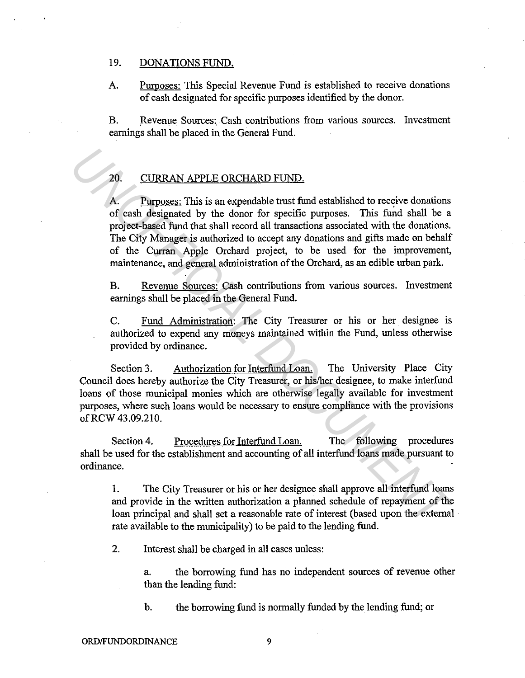## 19. DONATIONS FUND.

A. Purposes: This Special Revenue Fund is established to receive donations of cash designated for specific purposes identified by the donor.

B. Revenue Sources: Cash contributions from various sources. Investment earnings shall be placed in the General Fund.

## 20. CURRAN APPLE ORCHARD FUND.

A. Purposes: This is an expendable trust fund established to receive donations of cash designated by the donor for specific purposes. This fund shall be a project-based fund that shall record all transactions associated with the donations. The City Manager is authorized to accept any donations and gifts made on behalf of the Curran Apple Orchard project, to be used for the improvement, maintenance, and general administration of the Orchard, as an edible urban park. 20. CURRAN APPLE ORCHARD FUND.<br> **A.** Purposes: This is an expendable trust fund established to receive donations<br>
of cash designated by the donor for specific purposes. This in that shall be a<br>
project-based fund that shal

B. Revenue Sources: Cash contributions from various sources. Investment earnings shall be placed in the General Fund.

C. Fund Administration: The City Treasurer or his or her designee is authorized to expend any moneys maintained within the Fund, unless otherwise provided by ordinance.

Section 3. Authorization for Interfund Loan. The University Place City Council does hereby authorize the City Treasurer, or his/her designee, to make interfund loans of those municipal monies which are otherwise legally available for investment purposes, where such loans would be necessary to ensure compliance with the provisions ofRCW 43.09.210.

Section 4. Procedures for Interfund Loan. The following procedures shall be used for the establishment and accounting of all interfund loans made pursuant to ordinance.

1. The City Treasurer or his or her designee shall approve all interfund loans and provide in the written authorization a planned schedule of repayment of the loan principal and shall set a reasonable rate of interest (based upon the external rate available to the municipality) to be paid to the lending fund.

2. Interest shall be charged in all cases unless:

a. the borrowing fund has no independent sources of revenue other than the lending fund:

b. the borrowing fund is normally funded by the lending fund; or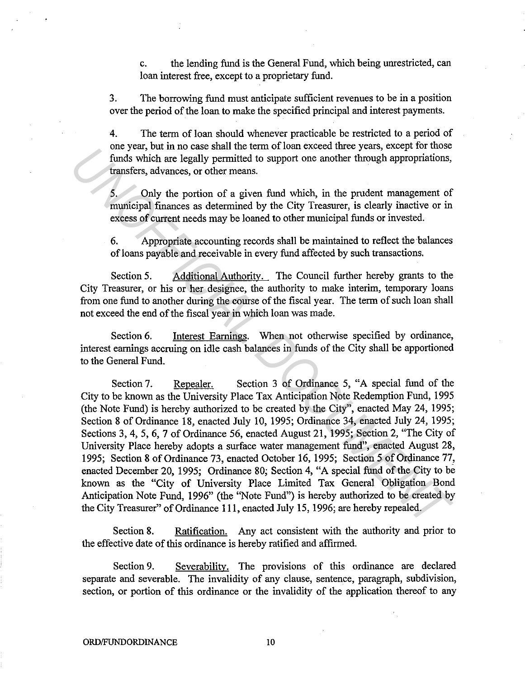c. the lending fund is the General Fund, which being unrestricted, can loan interest free, except to a proprietary fund.

3. The borrowing fund must anticipate sufficient revenues to be in a position over the period of the loan to make the specified principal and interest payments.

4. The term of loan should whenever practicable be restricted to a period of one year, but in no case shall the term of loan exceed three years, except for those funds which are legally permitted to support one another through appropriations, transfers, advances, or other means.

5. Only the portion of a given fund which, in the prudent management of municipal finances as determined by the City Treasurer, is clearly inactive or in excess of current needs may be loaned to other municipal funds or invested.

6. Appropriate accounting records shall be maintained to reflect the balances of loans payable and receivable in every fund affected by such transactions.

Section 5. Additional Authority. The Council further hereby grants to the City Treasurer, or his or her designee, the authority to make interim, temporary loans from one fund to another during the course of the fiscal year. The term of such loan shall not exceed the end of the fiscal year in which loan was made.

Section 6. Interest Earnings. When not otherwise specified by ordinance, interest earnings accruing on idle cash balances in funds of the City shall be apportioned to the General Fund.

Section 7. Repealer. Section 3 of Ordinance 5, "A special fund of the City to be known as the University Place Tax Anticipation Note Redemption Fund, 1995 (the Note Fund) is hereby authorized to be created by the City", enacted May 24, 1995; Section 8 of Ordinance 18, enacted July 10, 1995; Ordinance 34, enacted July 24, 1995; Sections 3, 4, 5, 6, 7 of Ordinance 56, enacted August 21, 1995; Section 2, "The City of University Place hereby adopts a surface water management fund", enacted August 28, 1995; Section 8 of Ordinance 73, enacted October 16, 1995; Section 5 of Ordinance 77, enacted December 20, 1995; Ordinance 80; Section 4, "A special fund of the City to be known as the "City of University Place Limited Tax General Obligation Bond Anticipation Note Fund, 1996" (the "Note Fund") is hereby authorized to be created by the City Treasurer" of Ordinance **111,** enacted July 15, 1996; are hereby repealed. one year, out in to ease state to eat of the cate of the extent they geads, except to those the city permitted to support one another through appropriations, transfers, advances, or other means.<br>
5. Only the portion of a

Section 8. Ratification. Any act consistent with the authority and prior to the effective date of this ordinance is hereby ratified and affirmed.

Section 9. Severability. The provisions of this ordinance are declared separate and severable. The invalidity of any clause, sentence, paragraph, subdivision, section, or portion of this ordinance or the invalidity of the application thereof to any